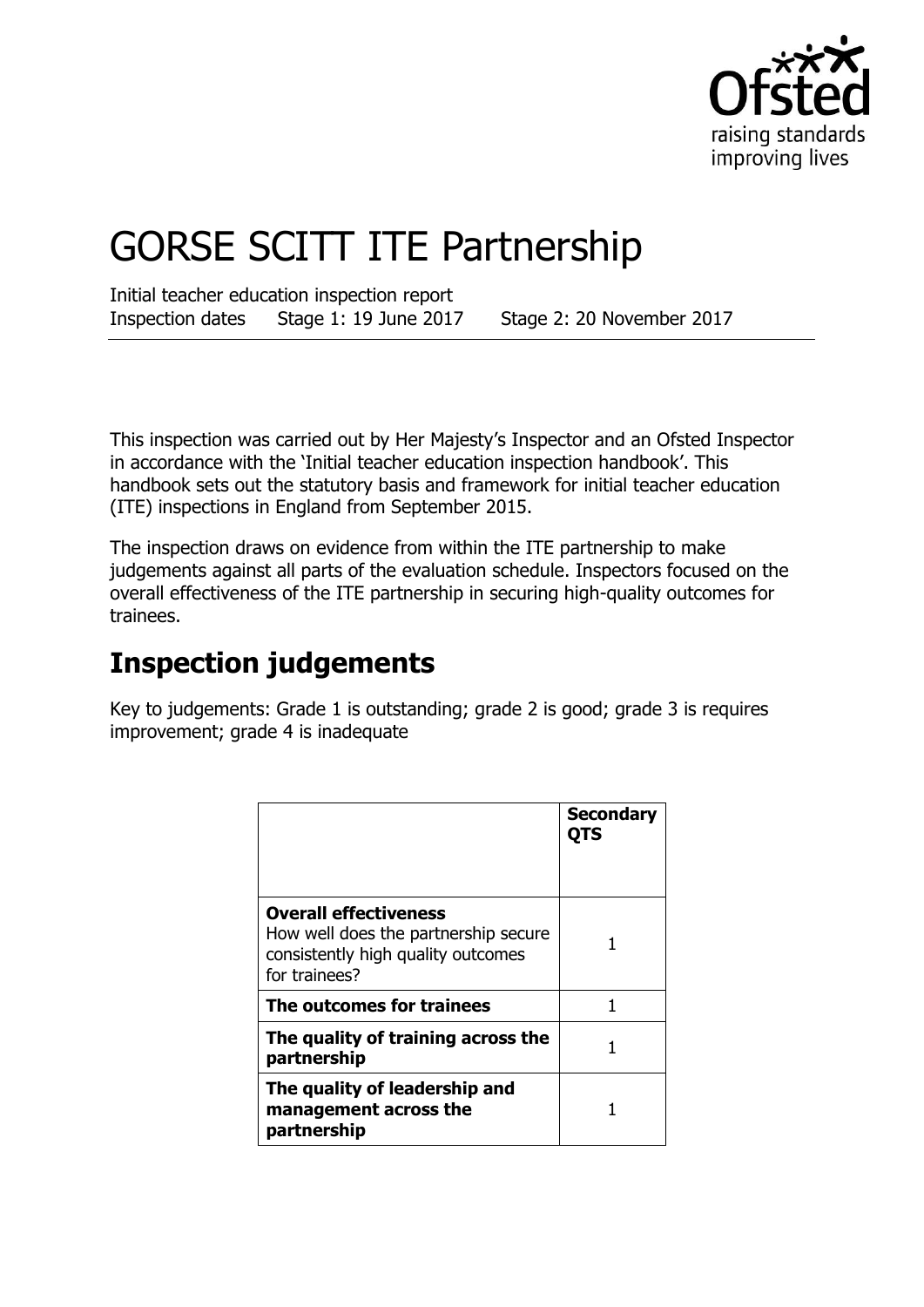

# GORSE SCITT ITE Partnership

Initial teacher education inspection report Inspection dates Stage 1: 19 June 2017 Stage 2: 20 November 2017

This inspection was carried out by Her Majesty's Inspector and an Ofsted Inspector in accordance with the 'Initial teacher education inspection handbook'. This handbook sets out the statutory basis and framework for initial teacher education (ITE) inspections in England from September 2015.

The inspection draws on evidence from within the ITE partnership to make judgements against all parts of the evaluation schedule. Inspectors focused on the overall effectiveness of the ITE partnership in securing high-quality outcomes for trainees.

## **Inspection judgements**

Key to judgements: Grade 1 is outstanding; grade 2 is good; grade 3 is requires improvement; grade 4 is inadequate

|                                                                                                                             | <b>Secondary</b><br><b>QTS</b> |
|-----------------------------------------------------------------------------------------------------------------------------|--------------------------------|
| <b>Overall effectiveness</b><br>How well does the partnership secure<br>consistently high quality outcomes<br>for trainees? |                                |
| The outcomes for trainees                                                                                                   |                                |
| The quality of training across the<br>partnership                                                                           |                                |
| The quality of leadership and<br>management across the<br>partnership                                                       |                                |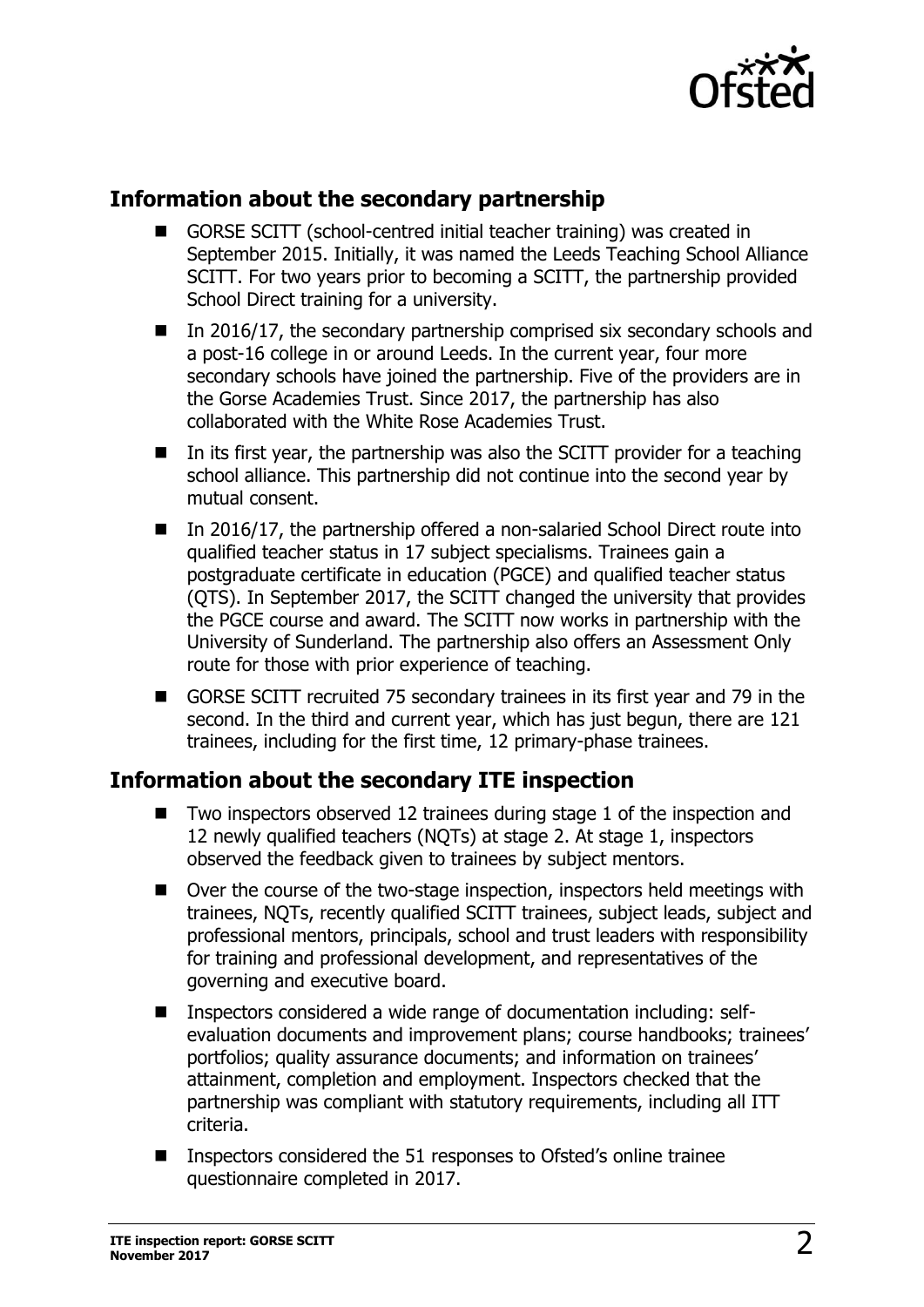

### **Information about the secondary partnership**

- GORSE SCITT (school-centred initial teacher training) was created in September 2015. Initially, it was named the Leeds Teaching School Alliance SCITT. For two years prior to becoming a SCITT, the partnership provided School Direct training for a university.
- In 2016/17, the secondary partnership comprised six secondary schools and a post-16 college in or around Leeds. In the current year, four more secondary schools have joined the partnership. Five of the providers are in the Gorse Academies Trust. Since 2017, the partnership has also collaborated with the White Rose Academies Trust.
- In its first year, the partnership was also the SCITT provider for a teaching school alliance. This partnership did not continue into the second year by mutual consent.
- In 2016/17, the partnership offered a non-salaried School Direct route into qualified teacher status in 17 subject specialisms. Trainees gain a postgraduate certificate in education (PGCE) and qualified teacher status (QTS). In September 2017, the SCITT changed the university that provides the PGCE course and award. The SCITT now works in partnership with the University of Sunderland. The partnership also offers an Assessment Only route for those with prior experience of teaching.
- GORSE SCITT recruited 75 secondary trainees in its first year and 79 in the second. In the third and current year, which has just begun, there are 121 trainees, including for the first time, 12 primary-phase trainees.

#### **Information about the secondary ITE inspection**

- Two inspectors observed 12 trainees during stage 1 of the inspection and 12 newly qualified teachers (NQTs) at stage 2. At stage 1, inspectors observed the feedback given to trainees by subject mentors.
- Over the course of the two-stage inspection, inspectors held meetings with trainees, NQTs, recently qualified SCITT trainees, subject leads, subject and professional mentors, principals, school and trust leaders with responsibility for training and professional development, and representatives of the governing and executive board.
- Inspectors considered a wide range of documentation including: selfevaluation documents and improvement plans; course handbooks; trainees' portfolios; quality assurance documents; and information on trainees' attainment, completion and employment. Inspectors checked that the partnership was compliant with statutory requirements, including all ITT criteria.
- Inspectors considered the 51 responses to Ofsted's online trainee questionnaire completed in 2017.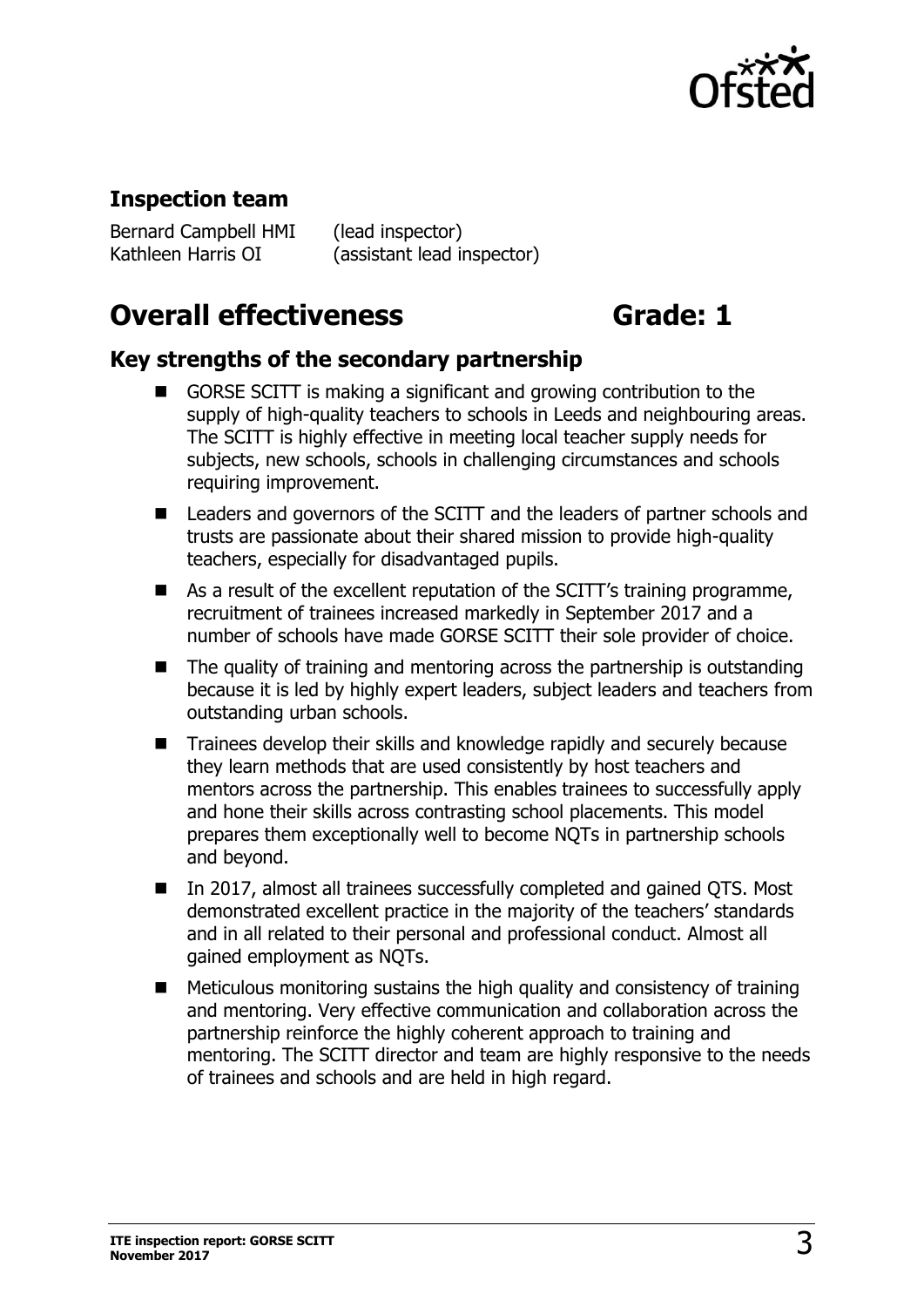

#### **Inspection team**

Bernard Campbell HMI (lead inspector)

Kathleen Harris OI (assistant lead inspector)

## **Overall effectiveness Grade: 1**

#### **Key strengths of the secondary partnership**

- GORSE SCITT is making a significant and growing contribution to the supply of high-quality teachers to schools in Leeds and neighbouring areas. The SCITT is highly effective in meeting local teacher supply needs for subjects, new schools, schools in challenging circumstances and schools requiring improvement.
- Leaders and governors of the SCITT and the leaders of partner schools and trusts are passionate about their shared mission to provide high-quality teachers, especially for disadvantaged pupils.
- As a result of the excellent reputation of the SCITT's training programme, recruitment of trainees increased markedly in September 2017 and a number of schools have made GORSE SCITT their sole provider of choice.
- The quality of training and mentoring across the partnership is outstanding because it is led by highly expert leaders, subject leaders and teachers from outstanding urban schools.
- Trainees develop their skills and knowledge rapidly and securely because they learn methods that are used consistently by host teachers and mentors across the partnership. This enables trainees to successfully apply and hone their skills across contrasting school placements. This model prepares them exceptionally well to become NQTs in partnership schools and beyond.
- In 2017, almost all trainees successfully completed and gained QTS. Most demonstrated excellent practice in the majority of the teachers' standards and in all related to their personal and professional conduct. Almost all gained employment as NQTs.
- Meticulous monitoring sustains the high quality and consistency of training and mentoring. Very effective communication and collaboration across the partnership reinforce the highly coherent approach to training and mentoring. The SCITT director and team are highly responsive to the needs of trainees and schools and are held in high regard.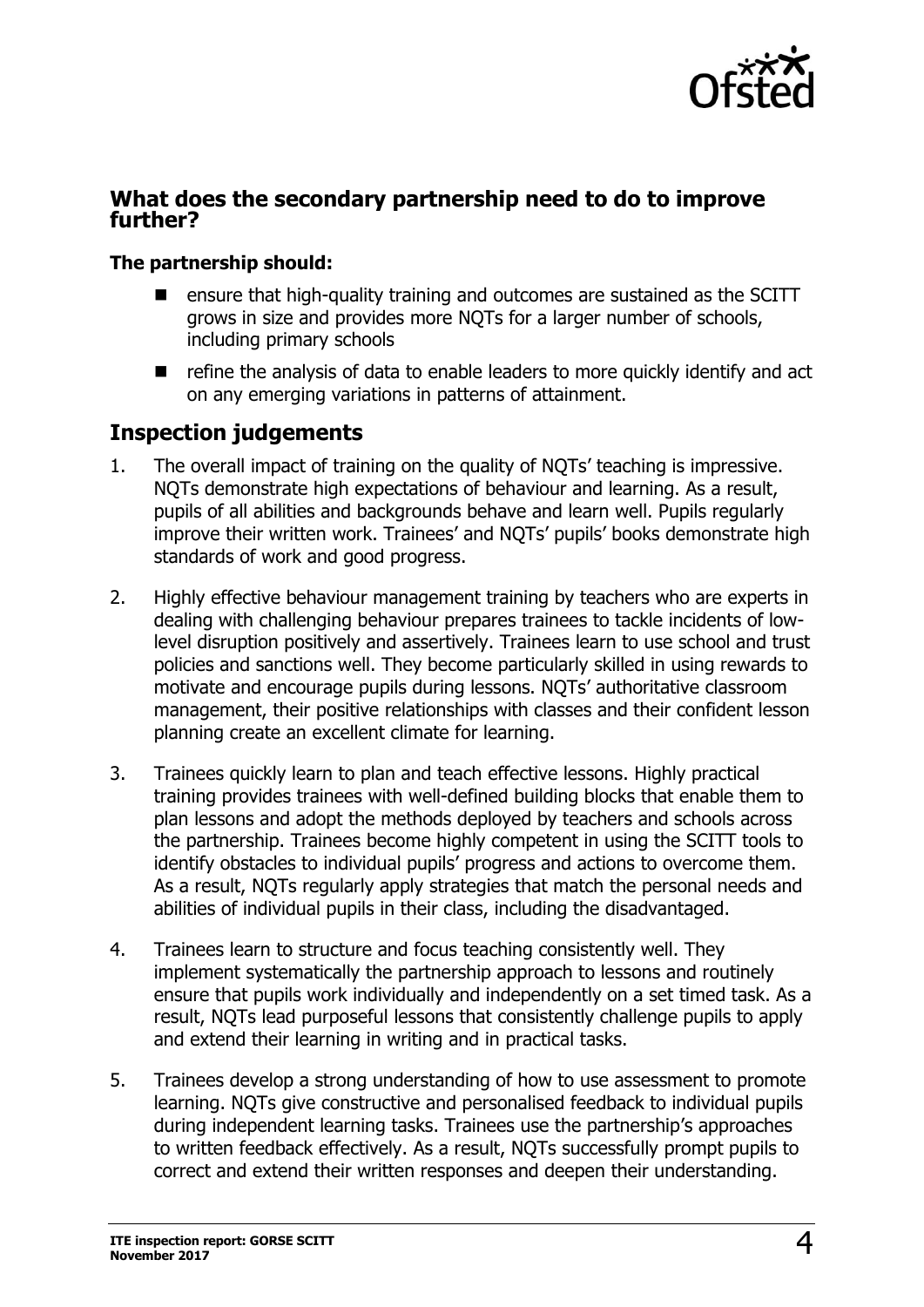

#### **What does the secondary partnership need to do to improve further?**

#### **The partnership should:**

- ensure that high-quality training and outcomes are sustained as the SCITT grows in size and provides more NQTs for a larger number of schools, including primary schools
- $\blacksquare$  refine the analysis of data to enable leaders to more quickly identify and act on any emerging variations in patterns of attainment.

#### **Inspection judgements**

- 1. The overall impact of training on the quality of NQTs' teaching is impressive. NQTs demonstrate high expectations of behaviour and learning. As a result, pupils of all abilities and backgrounds behave and learn well. Pupils regularly improve their written work. Trainees' and NQTs' pupils' books demonstrate high standards of work and good progress.
- 2. Highly effective behaviour management training by teachers who are experts in dealing with challenging behaviour prepares trainees to tackle incidents of lowlevel disruption positively and assertively. Trainees learn to use school and trust policies and sanctions well. They become particularly skilled in using rewards to motivate and encourage pupils during lessons. NQTs' authoritative classroom management, their positive relationships with classes and their confident lesson planning create an excellent climate for learning.
- 3. Trainees quickly learn to plan and teach effective lessons. Highly practical training provides trainees with well-defined building blocks that enable them to plan lessons and adopt the methods deployed by teachers and schools across the partnership. Trainees become highly competent in using the SCITT tools to identify obstacles to individual pupils' progress and actions to overcome them. As a result, NQTs regularly apply strategies that match the personal needs and abilities of individual pupils in their class, including the disadvantaged.
- 4. Trainees learn to structure and focus teaching consistently well. They implement systematically the partnership approach to lessons and routinely ensure that pupils work individually and independently on a set timed task. As a result, NQTs lead purposeful lessons that consistently challenge pupils to apply and extend their learning in writing and in practical tasks.
- 5. Trainees develop a strong understanding of how to use assessment to promote learning. NQTs give constructive and personalised feedback to individual pupils during independent learning tasks. Trainees use the partnership's approaches to written feedback effectively. As a result, NQTs successfully prompt pupils to correct and extend their written responses and deepen their understanding.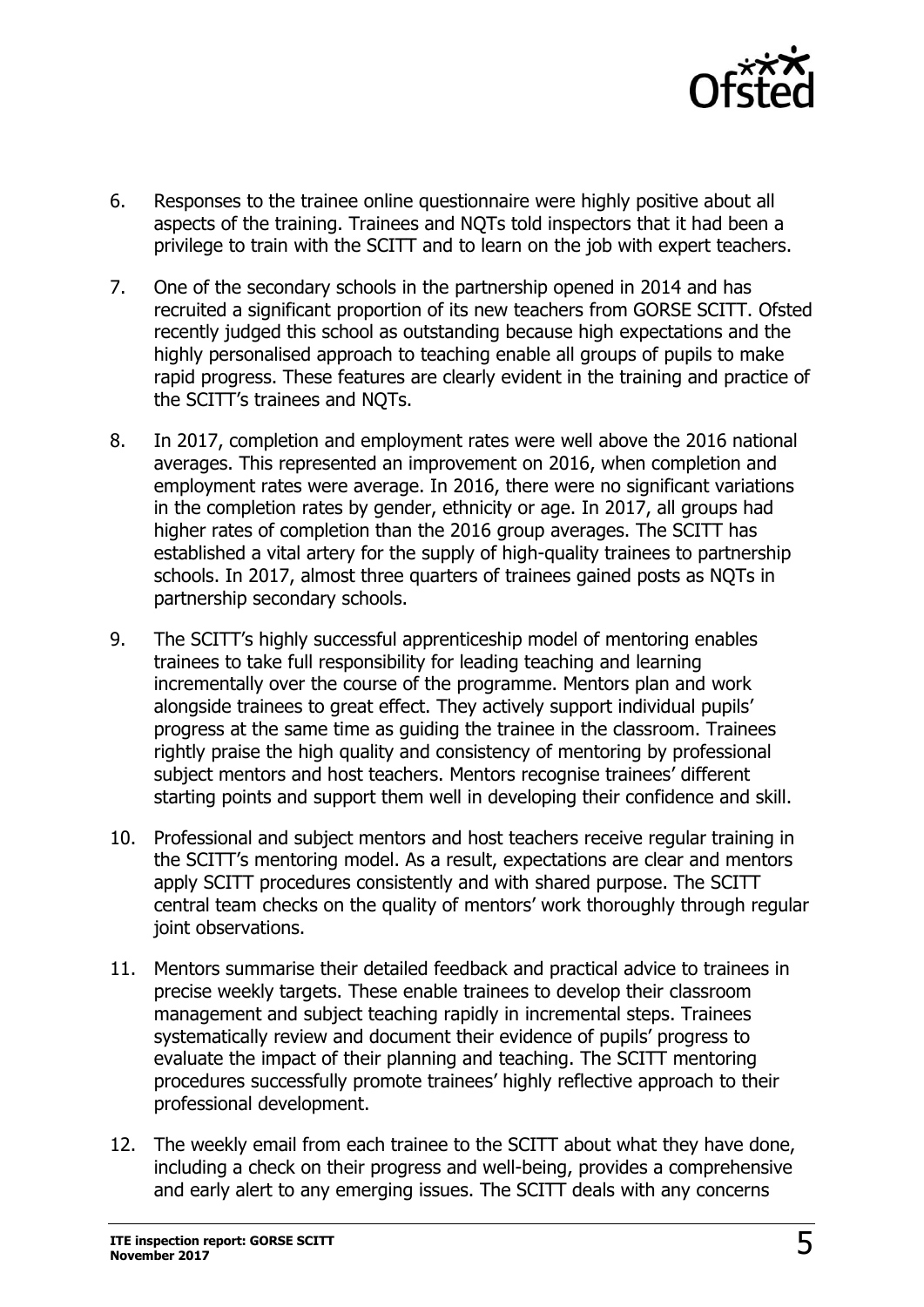

- 6. Responses to the trainee online questionnaire were highly positive about all aspects of the training. Trainees and NQTs told inspectors that it had been a privilege to train with the SCITT and to learn on the job with expert teachers.
- 7. One of the secondary schools in the partnership opened in 2014 and has recruited a significant proportion of its new teachers from GORSE SCITT. Ofsted recently judged this school as outstanding because high expectations and the highly personalised approach to teaching enable all groups of pupils to make rapid progress. These features are clearly evident in the training and practice of the SCITT's trainees and NQTs.
- 8. In 2017, completion and employment rates were well above the 2016 national averages. This represented an improvement on 2016, when completion and employment rates were average. In 2016, there were no significant variations in the completion rates by gender, ethnicity or age. In 2017, all groups had higher rates of completion than the 2016 group averages. The SCITT has established a vital artery for the supply of high-quality trainees to partnership schools. In 2017, almost three quarters of trainees gained posts as NQTs in partnership secondary schools.
- 9. The SCITT's highly successful apprenticeship model of mentoring enables trainees to take full responsibility for leading teaching and learning incrementally over the course of the programme. Mentors plan and work alongside trainees to great effect. They actively support individual pupils' progress at the same time as guiding the trainee in the classroom. Trainees rightly praise the high quality and consistency of mentoring by professional subject mentors and host teachers. Mentors recognise trainees' different starting points and support them well in developing their confidence and skill.
- 10. Professional and subject mentors and host teachers receive regular training in the SCITT's mentoring model. As a result, expectations are clear and mentors apply SCITT procedures consistently and with shared purpose. The SCITT central team checks on the quality of mentors' work thoroughly through regular joint observations.
- 11. Mentors summarise their detailed feedback and practical advice to trainees in precise weekly targets. These enable trainees to develop their classroom management and subject teaching rapidly in incremental steps. Trainees systematically review and document their evidence of pupils' progress to evaluate the impact of their planning and teaching. The SCITT mentoring procedures successfully promote trainees' highly reflective approach to their professional development.
- 12. The weekly email from each trainee to the SCITT about what they have done, including a check on their progress and well-being, provides a comprehensive and early alert to any emerging issues. The SCITT deals with any concerns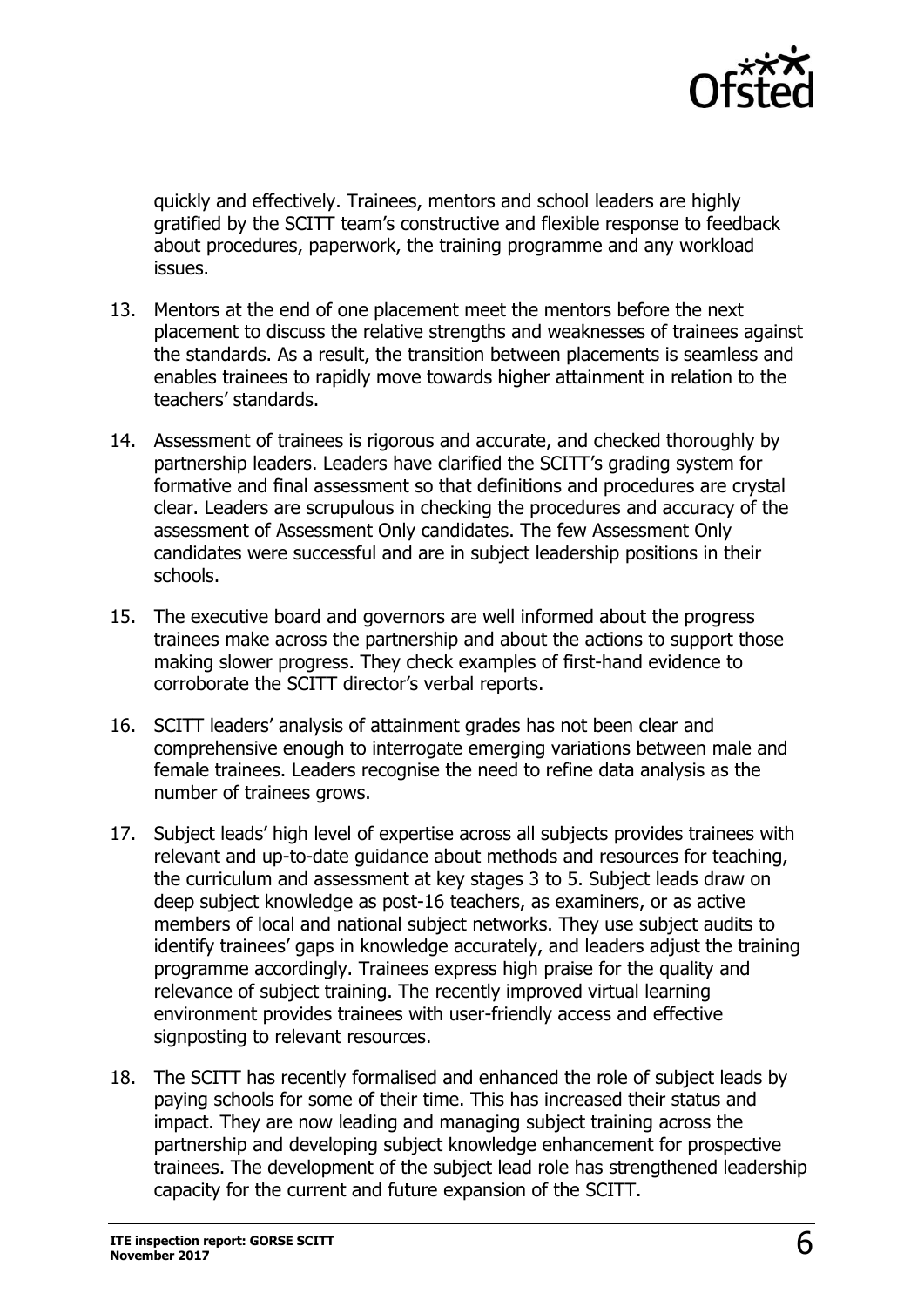

quickly and effectively. Trainees, mentors and school leaders are highly gratified by the SCITT team's constructive and flexible response to feedback about procedures, paperwork, the training programme and any workload issues.

- 13. Mentors at the end of one placement meet the mentors before the next placement to discuss the relative strengths and weaknesses of trainees against the standards. As a result, the transition between placements is seamless and enables trainees to rapidly move towards higher attainment in relation to the teachers' standards.
- 14. Assessment of trainees is rigorous and accurate, and checked thoroughly by partnership leaders. Leaders have clarified the SCITT's grading system for formative and final assessment so that definitions and procedures are crystal clear. Leaders are scrupulous in checking the procedures and accuracy of the assessment of Assessment Only candidates. The few Assessment Only candidates were successful and are in subject leadership positions in their schools.
- 15. The executive board and governors are well informed about the progress trainees make across the partnership and about the actions to support those making slower progress. They check examples of first-hand evidence to corroborate the SCITT director's verbal reports.
- 16. SCITT leaders' analysis of attainment grades has not been clear and comprehensive enough to interrogate emerging variations between male and female trainees. Leaders recognise the need to refine data analysis as the number of trainees grows.
- 17. Subject leads' high level of expertise across all subjects provides trainees with relevant and up-to-date guidance about methods and resources for teaching, the curriculum and assessment at key stages 3 to 5. Subject leads draw on deep subject knowledge as post-16 teachers, as examiners, or as active members of local and national subject networks. They use subject audits to identify trainees' gaps in knowledge accurately, and leaders adjust the training programme accordingly. Trainees express high praise for the quality and relevance of subject training. The recently improved virtual learning environment provides trainees with user-friendly access and effective signposting to relevant resources.
- 18. The SCITT has recently formalised and enhanced the role of subject leads by paying schools for some of their time. This has increased their status and impact. They are now leading and managing subject training across the partnership and developing subject knowledge enhancement for prospective trainees. The development of the subject lead role has strengthened leadership capacity for the current and future expansion of the SCITT.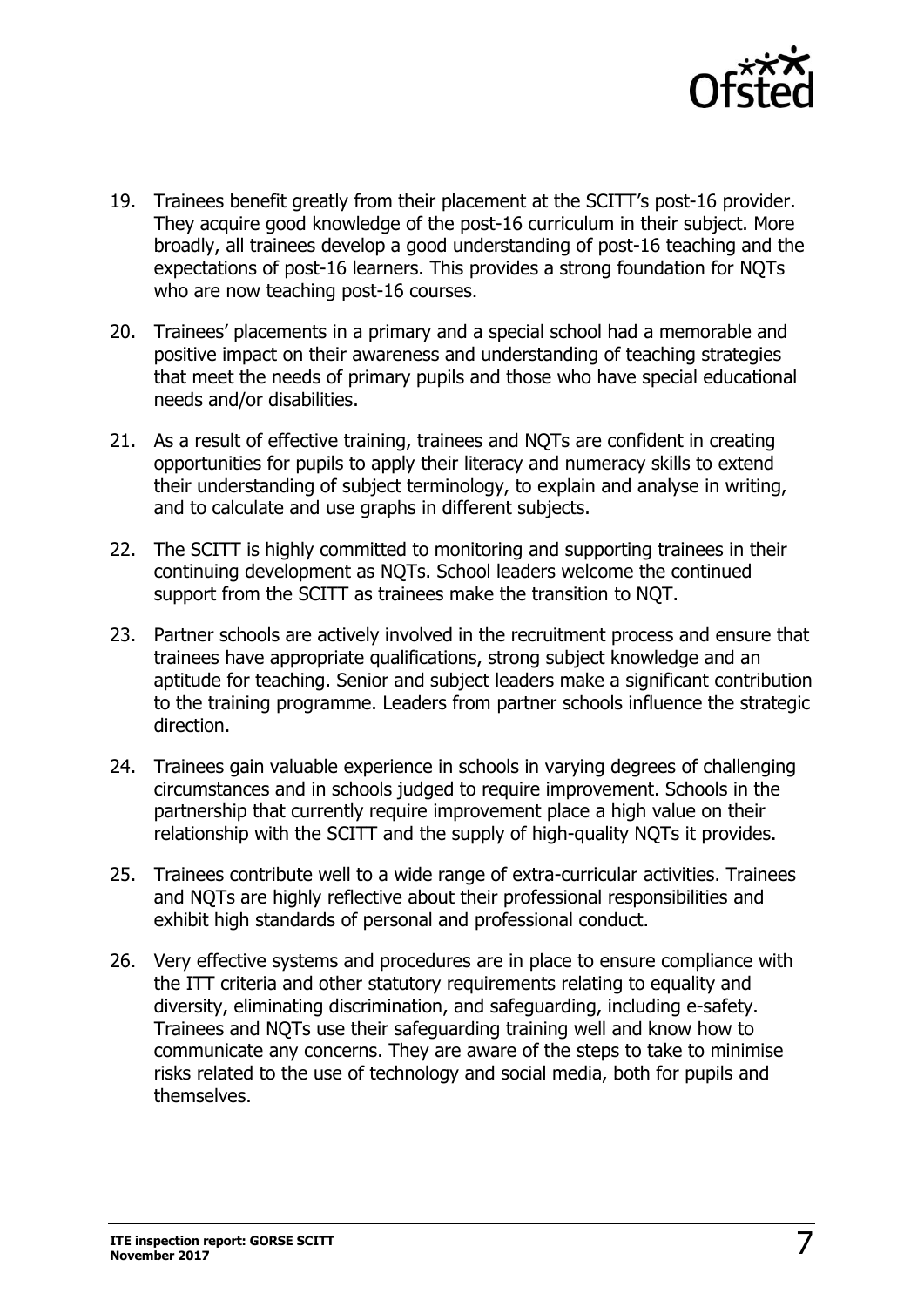

- 19. Trainees benefit greatly from their placement at the SCITT's post-16 provider. They acquire good knowledge of the post-16 curriculum in their subject. More broadly, all trainees develop a good understanding of post-16 teaching and the expectations of post-16 learners. This provides a strong foundation for NQTs who are now teaching post-16 courses.
- 20. Trainees' placements in a primary and a special school had a memorable and positive impact on their awareness and understanding of teaching strategies that meet the needs of primary pupils and those who have special educational needs and/or disabilities.
- 21. As a result of effective training, trainees and NQTs are confident in creating opportunities for pupils to apply their literacy and numeracy skills to extend their understanding of subject terminology, to explain and analyse in writing, and to calculate and use graphs in different subjects.
- 22. The SCITT is highly committed to monitoring and supporting trainees in their continuing development as NQTs. School leaders welcome the continued support from the SCITT as trainees make the transition to NQT.
- 23. Partner schools are actively involved in the recruitment process and ensure that trainees have appropriate qualifications, strong subject knowledge and an aptitude for teaching. Senior and subject leaders make a significant contribution to the training programme. Leaders from partner schools influence the strategic direction.
- 24. Trainees gain valuable experience in schools in varying degrees of challenging circumstances and in schools judged to require improvement. Schools in the partnership that currently require improvement place a high value on their relationship with the SCITT and the supply of high-quality NQTs it provides.
- 25. Trainees contribute well to a wide range of extra-curricular activities. Trainees and NQTs are highly reflective about their professional responsibilities and exhibit high standards of personal and professional conduct.
- 26. Very effective systems and procedures are in place to ensure compliance with the ITT criteria and other statutory requirements relating to equality and diversity, eliminating discrimination, and safeguarding, including e-safety. Trainees and NQTs use their safeguarding training well and know how to communicate any concerns. They are aware of the steps to take to minimise risks related to the use of technology and social media, both for pupils and themselves.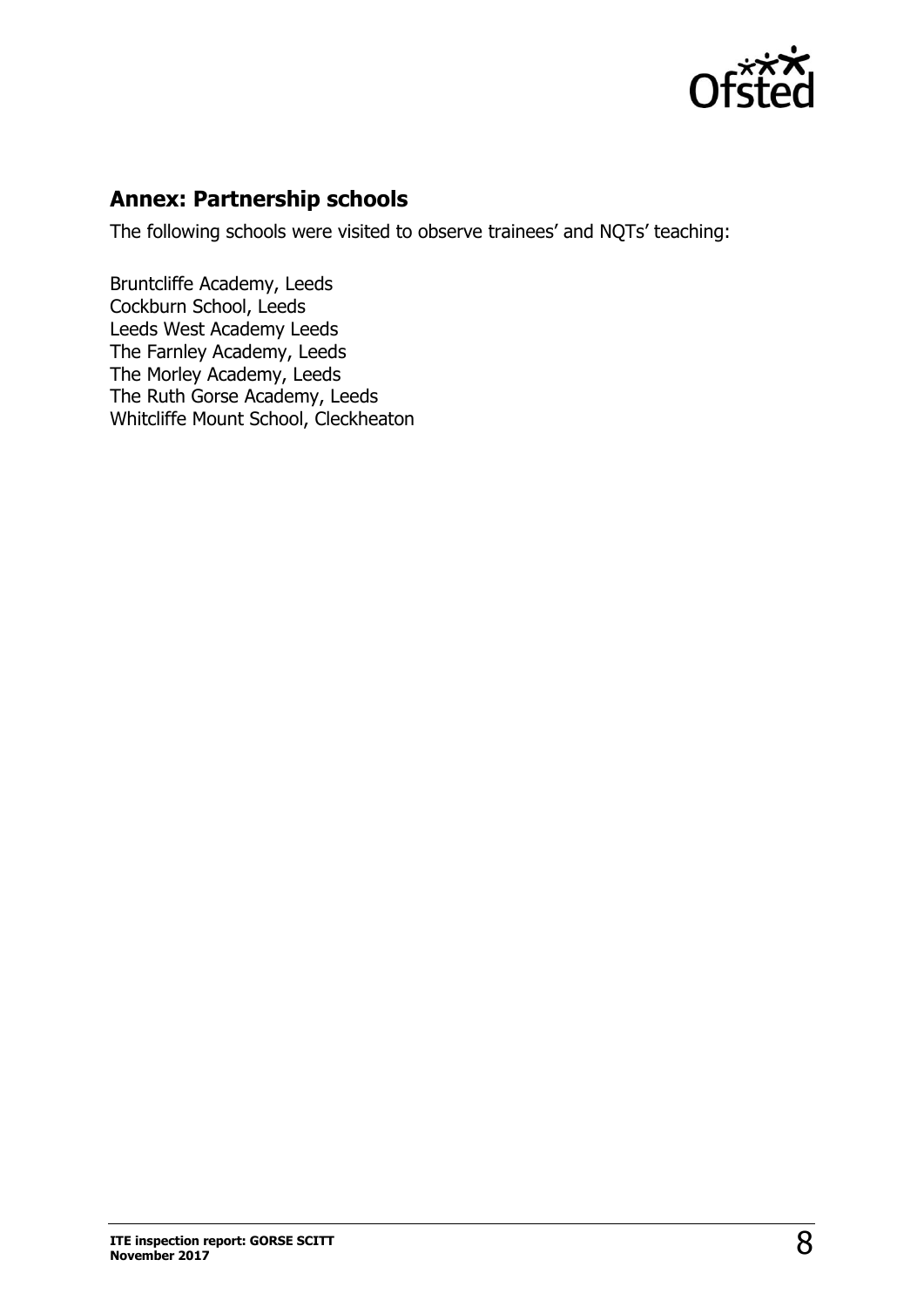

#### **Annex: Partnership schools**

The following schools were visited to observe trainees' and NQTs' teaching:

Bruntcliffe Academy, Leeds Cockburn School, Leeds Leeds West Academy Leeds The Farnley Academy, Leeds The Morley Academy, Leeds The Ruth Gorse Academy, Leeds Whitcliffe Mount School, Cleckheaton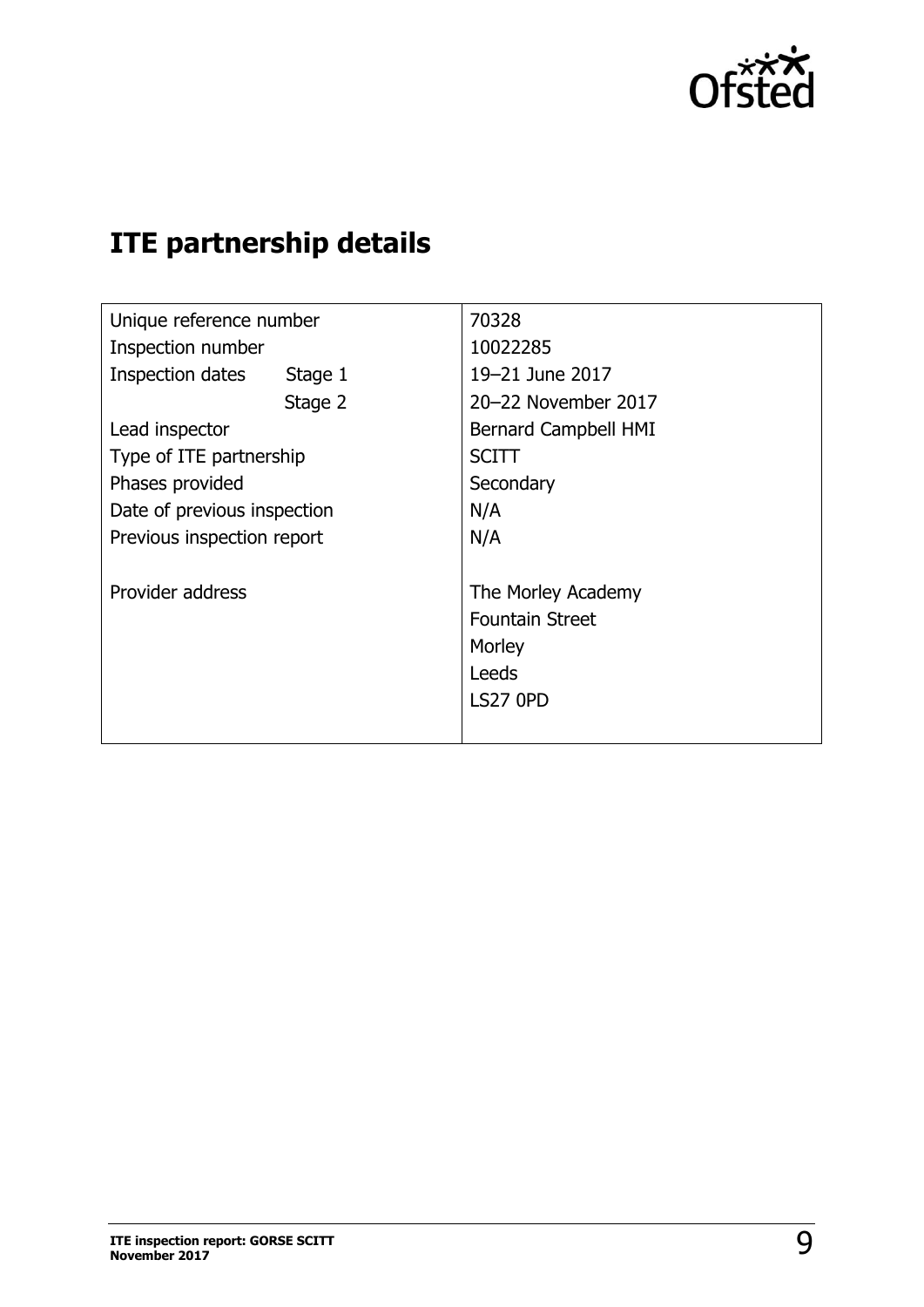

## **ITE partnership details**

| Unique reference number     | 70328                                                                              |
|-----------------------------|------------------------------------------------------------------------------------|
| Inspection number           | 10022285                                                                           |
| Inspection dates<br>Stage 1 | 19-21 June 2017                                                                    |
| Stage 2                     | 20-22 November 2017                                                                |
| Lead inspector              | Bernard Campbell HMI                                                               |
| Type of ITE partnership     | <b>SCITT</b>                                                                       |
| Phases provided             | Secondary                                                                          |
| Date of previous inspection | N/A                                                                                |
| Previous inspection report  | N/A                                                                                |
| Provider address            | The Morley Academy<br><b>Fountain Street</b><br>Morley<br>Leeds<br><b>LS27 0PD</b> |